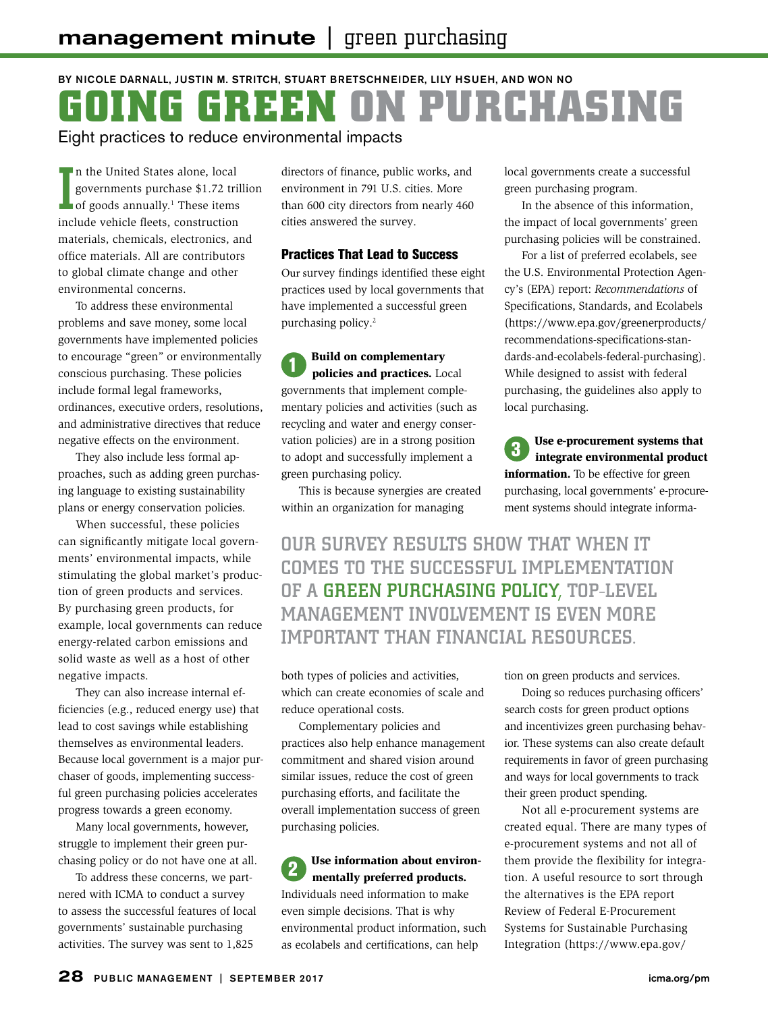# BY NICOLE DARNALL, JUSTIN M. STRITCH, STUART BRETSCHNEIDER, LILY HSUEH, AND WON NO **GOING GREEN ON PURCHASING** Eight practices to reduce environmental impacts

In the United States alone, local<br>governments purchase \$1.72 tril<br>of goods annually.<sup>1</sup> These items<br>include vehicle fleets, construction n the United States alone, local governments purchase \$1.72 trillion of goods annually.<sup>1</sup> These items materials, chemicals, electronics, and office materials. All are contributors to global climate change and other environmental concerns.

To address these environmental problems and save money, some local governments have implemented policies to encourage "green" or environmentally conscious purchasing. These policies include formal legal frameworks, ordinances, executive orders, resolutions, and administrative directives that reduce negative effects on the environment.

They also include less formal approaches, such as adding green purchasing language to existing sustainability plans or energy conservation policies.

When successful, these policies can significantly mitigate local governments' environmental impacts, while stimulating the global market's production of green products and services. By purchasing green products, for example, local governments can reduce energy-related carbon emissions and solid waste as well as a host of other negative impacts.

They can also increase internal efficiencies (e.g., reduced energy use) that lead to cost savings while establishing themselves as environmental leaders. Because local government is a major purchaser of goods, implementing successful green purchasing policies accelerates progress towards a green economy.

Many local governments, however, struggle to implement their green purchasing policy or do not have one at all.

To address these concerns, we partnered with ICMA to conduct a survey to assess the successful features of local governments' sustainable purchasing activities. The survey was sent to 1,825

directors of finance, public works, and environment in 791 U.S. cities. More than 600 city directors from nearly 460 cities answered the survey.

### Practices That Lead to Success

Our survey findings identified these eight practices used by local governments that have implemented a successful green purchasing policy.<sup>2</sup>

Build on complementary policies and practices. Local governments that implement complementary policies and activities (such as recycling and water and energy conservation policies) are in a strong position to adopt and successfully implement a green purchasing policy.

This is because synergies are created within an organization for managing

local governments create a successful green purchasing program.

In the absence of this information, the impact of local governments' green purchasing policies will be constrained.

For a list of preferred ecolabels, see the U.S. Environmental Protection Agency's (EPA) report: *Recommendations* of Specifications, Standards, and Ecolabels (https://www.epa.gov/greenerproducts/ recommendations-specifications-standards-and-ecolabels-federal-purchasing). While designed to assist with federal purchasing, the guidelines also apply to local purchasing.

Use e-procurement systems that integrate environmental product information. To be effective for green purchasing, local governments' e-procurement systems should integrate informa-

OUR SURVEY RESULTS SHOW THAT WHEN IT COMES TO THE SUCCESSFUL IMPLEMENTATION OF A GREEN PURCHASING POLICY, TOP-LEVEL MANAGEMENT INVOLVEMENT IS EVEN MORE IMPORTANT THAN FINANCIAL RESOURCES.

both types of policies and activities, which can create economies of scale and reduce operational costs.

Complementary policies and practices also help enhance management commitment and shared vision around similar issues, reduce the cost of green purchasing efforts, and facilitate the overall implementation success of green purchasing policies.

Use information about environmentally preferred products. Individuals need information to make even simple decisions. That is why environmental product information, such as ecolabels and certifications, can help

tion on green products and services.

Doing so reduces purchasing officers' search costs for green product options and incentivizes green purchasing behavior. These systems can also create default requirements in favor of green purchasing and ways for local governments to track their green product spending.

Not all e-procurement systems are created equal. There are many types of e-procurement systems and not all of them provide the flexibility for integration. A useful resource to sort through the alternatives is the EPA report Review of Federal E-Procurement Systems for Sustainable Purchasing Integration (https://www.epa.gov/